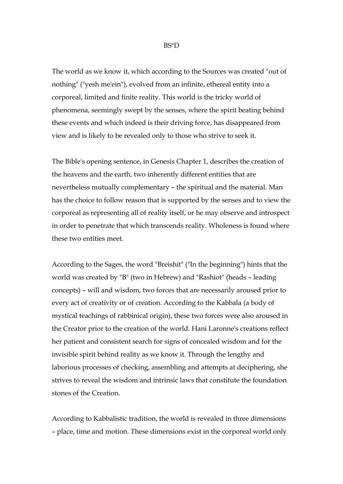## BS"D

The world as we know it, which according to the Sources was created "out of nothing" ("yesh me'ein"), evolved from an infinite, ethereal entity into a corporeal, limited and finite reality. This world is the tricky world of phenomena, seemingly swept by the senses, where the spirit beating behind these events and which indeed is their driving force, has disappeared from view and is likely to be revealed only to those who strive to seek it.

The Bible's opening sentence, in Genesis Chapter 1, describes the creation of the heavens and the earth, two inherently different entities that are nevertheless mutually complementary – the spiritual and the material. Man has the choice to follow reason that is supported by the senses and to view the corporeal as representing all of reality itself, or he may observe and introspect in order to penetrate that which transcends reality. Wholeness is found where these two entities meet.

According to the Sages, the word "Breishit" ("In the beginning") hints that the world was created by "B" (two in Hebrew) and "Rashiot" (heads – leading concepts) – will and wisdom, two forces that are necessarily aroused prior to every act of creativity or of creation. According to the Kabbala (a body of mystical teachings of rabbinical origin), these two forces were also aroused in the Creator prior to the creation of the world. Hani Laronne's creations reflect her patient and consistent search for signs of concealed wisdom and for the invisible spirit behind reality as we know it. Through the lengthy and laborious processes of checking, assembling and attempts at deciphering, she strives to reveal the wisdom and intrinsic laws that constitute the foundation stones of the Creation.

According to Kabbalistic tradition, the world is revealed in three dimensions – place, time and motion. These dimensions exist in the corporeal world only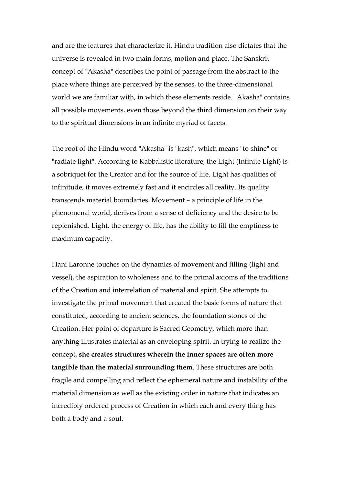and are the features that characterize it. Hindu tradition also dictates that the universe is revealed in two main forms, motion and place. The Sanskrit concept of "Akasha" describes the point of passage from the abstract to the place where things are perceived by the senses, to the three-dimensional world we are familiar with, in which these elements reside. "Akasha" contains all possible movements, even those beyond the third dimension on their way to the spiritual dimensions in an infinite myriad of facets.

The root of the Hindu word "Akasha" is "kash", which means "to shine" or "radiate light". According to Kabbalistic literature, the Light (Infinite Light) is a sobriquet for the Creator and for the source of life. Light has qualities of infinitude, it moves extremely fast and it encircles all reality. Its quality transcends material boundaries. Movement – a principle of life in the phenomenal world, derives from a sense of deficiency and the desire to be replenished. Light, the energy of life, has the ability to fill the emptiness to maximum capacity.

Hani Laronne touches on the dynamics of movement and filling (light and vessel), the aspiration to wholeness and to the primal axioms of the traditions of the Creation and interrelation of material and spirit. She attempts to investigate the primal movement that created the basic forms of nature that constituted, according to ancient sciences, the foundation stones of the Creation. Her point of departure is Sacred Geometry, which more than anything illustrates material as an enveloping spirit. In trying to realize the concept, **she creates structures wherein the inner spaces are often more tangible than the material surrounding them**. These structures are both fragile and compelling and reflect the ephemeral nature and instability of the material dimension as well as the existing order in nature that indicates an incredibly ordered process of Creation in which each and every thing has both a body and a soul.